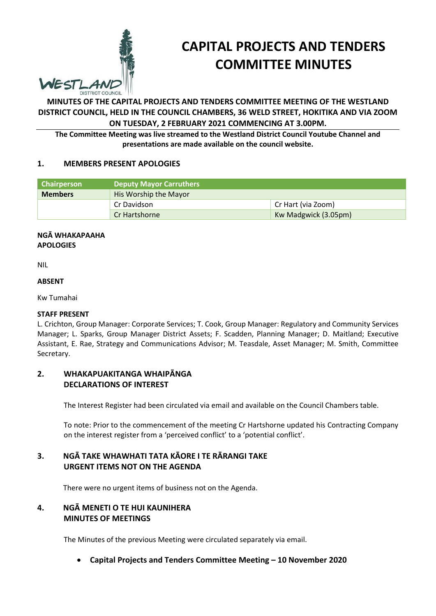

# **CAPITAL PROJECTS AND TENDERS COMMITTEE MINUTES**

**MINUTES OF THE CAPITAL PROJECTS AND TENDERS COMMITTEE MEETING OF THE WESTLAND DISTRICT COUNCIL, HELD IN THE COUNCIL CHAMBERS, 36 WELD STREET, HOKITIKA AND VIA ZOOM ON TUESDAY, 2 FEBRUARY 2021 COMMENCING AT 3.00PM.**

**The Committee Meeting was live streamed to the Westland District Council Youtube Channel and presentations are made available on the council website.**

# **1. MEMBERS PRESENT APOLOGIES**

| <b>Chairperson</b> | Deputy Mayor Carruthers |                      |
|--------------------|-------------------------|----------------------|
| <b>Members</b>     | His Worship the Mayor   |                      |
|                    | Cr Davidson             | Cr Hart (via Zoom)   |
|                    | Cr Hartshorne           | Kw Madgwick (3.05pm) |

#### **NGĀ WHAKAPAAHA APOLOGIES**

NIL

#### **ABSENT**

Kw Tumahai

#### **STAFF PRESENT**

L. Crichton, Group Manager: Corporate Services; T. Cook, Group Manager: Regulatory and Community Services Manager; L. Sparks, Group Manager District Assets; F. Scadden, Planning Manager; D. Maitland; Executive Assistant, E. Rae, Strategy and Communications Advisor; M. Teasdale, Asset Manager; M. Smith, Committee Secretary.

### **2. WHAKAPUAKITANGA WHAIPĀNGA DECLARATIONS OF INTEREST**

The Interest Register had been circulated via email and available on the Council Chambers table.

To note: Prior to the commencement of the meeting Cr Hartshorne updated his Contracting Company on the interest register from a 'perceived conflict' to a 'potential conflict'.

# **3. NGĀ TAKE WHAWHATI TATA KĀORE I TE RĀRANGI TAKE URGENT ITEMS NOT ON THE AGENDA**

There were no urgent items of business not on the Agenda.

# **4. NGĀ MENETI O TE HUI KAUNIHERA MINUTES OF MEETINGS**

The Minutes of the previous Meeting were circulated separately via email.

**Capital Projects and Tenders Committee Meeting – 10 November 2020**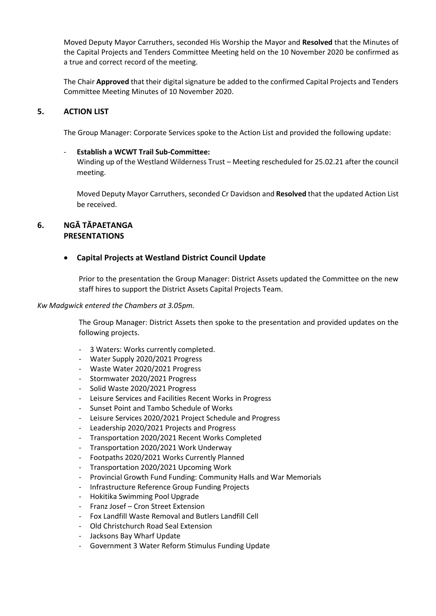Moved Deputy Mayor Carruthers, seconded His Worship the Mayor and **Resolved** that the Minutes of the Capital Projects and Tenders Committee Meeting held on the 10 November 2020 be confirmed as a true and correct record of the meeting.

The Chair **Approved** that their digital signature be added to the confirmed Capital Projects and Tenders Committee Meeting Minutes of 10 November 2020.

# **5. ACTION LIST**

The Group Manager: Corporate Services spoke to the Action List and provided the following update:

#### - **Establish a WCWT Trail Sub-Committee:**

Winding up of the Westland Wilderness Trust – Meeting rescheduled for 25.02.21 after the council meeting.

Moved Deputy Mayor Carruthers, seconded Cr Davidson and **Resolved** that the updated Action List be received.

# **6. NGĀ TĀPAETANGA PRESENTATIONS**

#### **Capital Projects at Westland District Council Update**

Prior to the presentation the Group Manager: District Assets updated the Committee on the new staff hires to support the District Assets Capital Projects Team.

#### *Kw Madgwick entered the Chambers at 3.05pm.*

The Group Manager: District Assets then spoke to the presentation and provided updates on the following projects.

- 3 Waters: Works currently completed.
- Water Supply 2020/2021 Progress
- Waste Water 2020/2021 Progress
- Stormwater 2020/2021 Progress
- Solid Waste 2020/2021 Progress
- Leisure Services and Facilities Recent Works in Progress
- Sunset Point and Tambo Schedule of Works
- Leisure Services 2020/2021 Project Schedule and Progress
- Leadership 2020/2021 Projects and Progress
- Transportation 2020/2021 Recent Works Completed
- Transportation 2020/2021 Work Underway
- Footpaths 2020/2021 Works Currently Planned
- Transportation 2020/2021 Upcoming Work
- Provincial Growth Fund Funding: Community Halls and War Memorials
- Infrastructure Reference Group Funding Projects
- Hokitika Swimming Pool Upgrade
- Franz Josef Cron Street Extension
- Fox Landfill Waste Removal and Butlers Landfill Cell
- Old Christchurch Road Seal Extension
- Jacksons Bay Wharf Update
- Government 3 Water Reform Stimulus Funding Update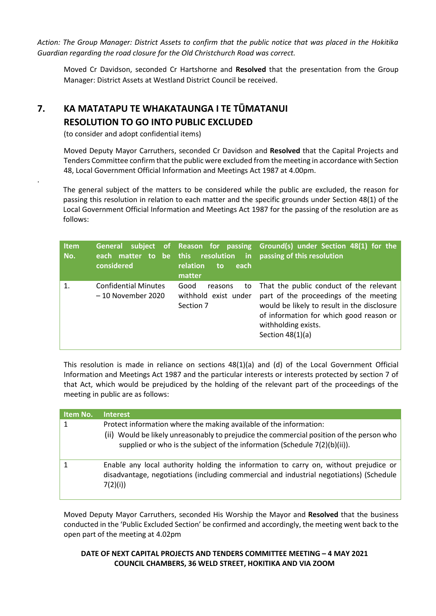*Action: The Group Manager: District Assets to confirm that the public notice that was placed in the Hokitika Guardian regarding the road closure for the Old Christchurch Road was correct.*

Moved Cr Davidson, seconded Cr Hartshorne and **Resolved** that the presentation from the Group Manager: District Assets at Westland District Council be received.

# **7. KA MATATAPU TE WHAKATAUNGA I TE TŪMATANUI RESOLUTION TO GO INTO PUBLIC EXCLUDED**

(to consider and adopt confidential items)

.

 Moved Deputy Mayor Carruthers, seconded Cr Davidson and **Resolved** that the Capital Projects and Tenders Committee confirm that the public were excluded from the meeting in accordance with Section 48, Local Government Official Information and Meetings Act 1987 at 4.00pm.

The general subject of the matters to be considered while the public are excluded, the reason for passing this resolution in relation to each matter and the specific grounds under Section 48(1) of the Local Government Official Information and Meetings Act 1987 for the passing of the resolution are as follows:

| <b>Item</b><br>No. | General<br>considered                             | relation<br>each<br>to<br>matter                           | subject of Reason for passing Ground(s) under Section 48(1) for the<br>each matter to be this resolution in passing of this resolution                                                                                   |
|--------------------|---------------------------------------------------|------------------------------------------------------------|--------------------------------------------------------------------------------------------------------------------------------------------------------------------------------------------------------------------------|
| $\mathbf{1}$       | <b>Confidential Minutes</b><br>- 10 November 2020 | Good<br>to<br>reasons<br>withhold exist under<br>Section 7 | That the public conduct of the relevant<br>part of the proceedings of the meeting<br>would be likely to result in the disclosure<br>of information for which good reason or<br>withholding exists.<br>Section $48(1)(a)$ |

This resolution is made in reliance on sections 48(1)(a) and (d) of the Local Government Official Information and Meetings Act 1987 and the particular interests or interests protected by section 7 of that Act, which would be prejudiced by the holding of the relevant part of the proceedings of the meeting in public are as follows:

| Item No. | <b>Interest</b>                                                                                                                                                                                                                             |
|----------|---------------------------------------------------------------------------------------------------------------------------------------------------------------------------------------------------------------------------------------------|
| 1        | Protect information where the making available of the information:<br>(ii) Would be likely unreasonably to prejudice the commercial position of the person who<br>supplied or who is the subject of the information (Schedule 7(2)(b)(ii)). |
|          | Enable any local authority holding the information to carry on, without prejudice or<br>disadvantage, negotiations (including commercial and industrial negotiations) (Schedule<br>7(2)(i)                                                  |

Moved Deputy Mayor Carruthers, seconded His Worship the Mayor and **Resolved** that the business conducted in the 'Public Excluded Section' be confirmed and accordingly, the meeting went back to the open part of the meeting at 4.02pm

# **DATE OF NEXT CAPITAL PROJECTS AND TENDERS COMMITTEE MEETING – 4 MAY 2021 COUNCIL CHAMBERS, 36 WELD STREET, HOKITIKA AND VIA ZOOM**